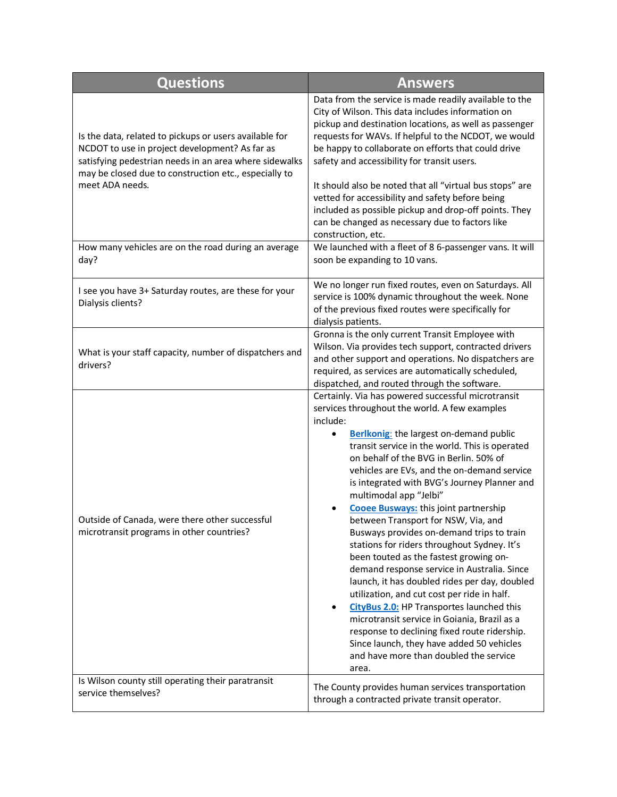| <b>Questions</b>                                                                                                                                                                                                                               | <b>Answers</b>                                                                                                                                                                                                                                                                                                                                                                                                                                                                                                                                                                                                                                                                                                                                                                                                                                                                                                                                                                                                                      |
|------------------------------------------------------------------------------------------------------------------------------------------------------------------------------------------------------------------------------------------------|-------------------------------------------------------------------------------------------------------------------------------------------------------------------------------------------------------------------------------------------------------------------------------------------------------------------------------------------------------------------------------------------------------------------------------------------------------------------------------------------------------------------------------------------------------------------------------------------------------------------------------------------------------------------------------------------------------------------------------------------------------------------------------------------------------------------------------------------------------------------------------------------------------------------------------------------------------------------------------------------------------------------------------------|
| Is the data, related to pickups or users available for<br>NCDOT to use in project development? As far as<br>satisfying pedestrian needs in an area where sidewalks<br>may be closed due to construction etc., especially to<br>meet ADA needs. | Data from the service is made readily available to the<br>City of Wilson. This data includes information on<br>pickup and destination locations, as well as passenger<br>requests for WAVs. If helpful to the NCDOT, we would<br>be happy to collaborate on efforts that could drive<br>safety and accessibility for transit users.<br>It should also be noted that all "virtual bus stops" are<br>vetted for accessibility and safety before being<br>included as possible pickup and drop-off points. They<br>can be changed as necessary due to factors like<br>construction, etc.                                                                                                                                                                                                                                                                                                                                                                                                                                               |
| How many vehicles are on the road during an average<br>day?                                                                                                                                                                                    | We launched with a fleet of 8 6-passenger vans. It will<br>soon be expanding to 10 vans.                                                                                                                                                                                                                                                                                                                                                                                                                                                                                                                                                                                                                                                                                                                                                                                                                                                                                                                                            |
| I see you have 3+ Saturday routes, are these for your<br>Dialysis clients?                                                                                                                                                                     | We no longer run fixed routes, even on Saturdays. All<br>service is 100% dynamic throughout the week. None<br>of the previous fixed routes were specifically for<br>dialysis patients.                                                                                                                                                                                                                                                                                                                                                                                                                                                                                                                                                                                                                                                                                                                                                                                                                                              |
| What is your staff capacity, number of dispatchers and<br>drivers?                                                                                                                                                                             | Gronna is the only current Transit Employee with<br>Wilson. Via provides tech support, contracted drivers<br>and other support and operations. No dispatchers are<br>required, as services are automatically scheduled,<br>dispatched, and routed through the software.                                                                                                                                                                                                                                                                                                                                                                                                                                                                                                                                                                                                                                                                                                                                                             |
| Outside of Canada, were there other successful<br>microtransit programs in other countries?                                                                                                                                                    | Certainly. Via has powered successful microtransit<br>services throughout the world. A few examples<br>include:<br><b>Berlkonig:</b> the largest on-demand public<br>transit service in the world. This is operated<br>on behalf of the BVG in Berlin. 50% of<br>vehicles are EVs, and the on-demand service<br>is integrated with BVG's Journey Planner and<br>multimodal app "Jelbi"<br><b>Cooee Busways:</b> this joint partnership<br>between Transport for NSW. Via. and<br>Busways provides on-demand trips to train<br>stations for riders throughout Sydney. It's<br>been touted as the fastest growing on-<br>demand response service in Australia. Since<br>launch, it has doubled rides per day, doubled<br>utilization, and cut cost per ride in half.<br><b>CityBus 2.0: HP Transportes launched this</b><br>$\bullet$<br>microtransit service in Goiania, Brazil as a<br>response to declining fixed route ridership.<br>Since launch, they have added 50 vehicles<br>and have more than doubled the service<br>area. |
| Is Wilson county still operating their paratransit<br>service themselves?                                                                                                                                                                      | The County provides human services transportation<br>through a contracted private transit operator.                                                                                                                                                                                                                                                                                                                                                                                                                                                                                                                                                                                                                                                                                                                                                                                                                                                                                                                                 |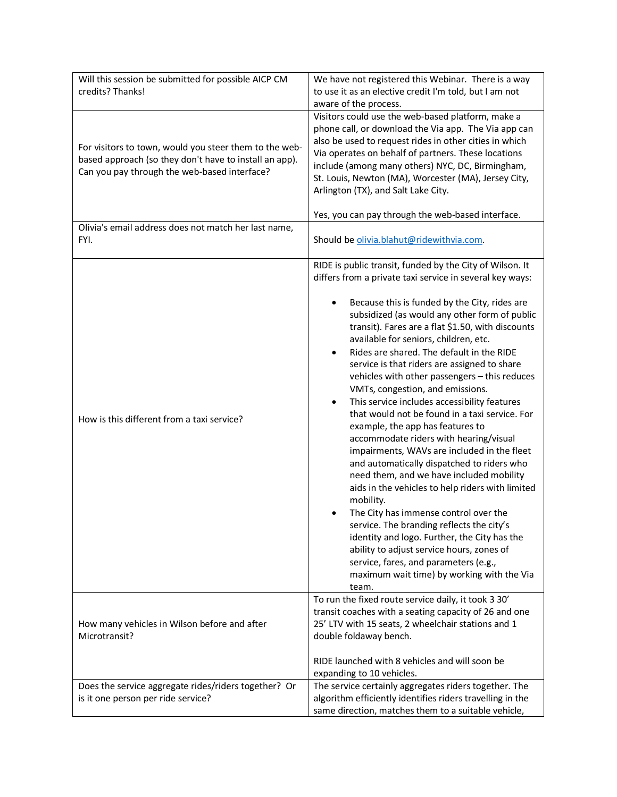| Will this session be submitted for possible AICP CM<br>credits? Thanks!                                                                                          | We have not registered this Webinar. There is a way<br>to use it as an elective credit I'm told, but I am not<br>aware of the process.                                                                                                                                                                                                                                                                                                                                                                                                                                                                                                                                                                                                                                                                                                                                                                                                                                                                                                                                                                                                                                                           |
|------------------------------------------------------------------------------------------------------------------------------------------------------------------|--------------------------------------------------------------------------------------------------------------------------------------------------------------------------------------------------------------------------------------------------------------------------------------------------------------------------------------------------------------------------------------------------------------------------------------------------------------------------------------------------------------------------------------------------------------------------------------------------------------------------------------------------------------------------------------------------------------------------------------------------------------------------------------------------------------------------------------------------------------------------------------------------------------------------------------------------------------------------------------------------------------------------------------------------------------------------------------------------------------------------------------------------------------------------------------------------|
| For visitors to town, would you steer them to the web-<br>based approach (so they don't have to install an app).<br>Can you pay through the web-based interface? | Visitors could use the web-based platform, make a<br>phone call, or download the Via app. The Via app can<br>also be used to request rides in other cities in which<br>Via operates on behalf of partners. These locations<br>include (among many others) NYC, DC, Birmingham,<br>St. Louis, Newton (MA), Worcester (MA), Jersey City,<br>Arlington (TX), and Salt Lake City.<br>Yes, you can pay through the web-based interface.                                                                                                                                                                                                                                                                                                                                                                                                                                                                                                                                                                                                                                                                                                                                                               |
| Olivia's email address does not match her last name,<br>FYI.                                                                                                     | Should be olivia.blahut@ridewithvia.com.                                                                                                                                                                                                                                                                                                                                                                                                                                                                                                                                                                                                                                                                                                                                                                                                                                                                                                                                                                                                                                                                                                                                                         |
| How is this different from a taxi service?                                                                                                                       | RIDE is public transit, funded by the City of Wilson. It<br>differs from a private taxi service in several key ways:<br>Because this is funded by the City, rides are<br>subsidized (as would any other form of public<br>transit). Fares are a flat \$1.50, with discounts<br>available for seniors, children, etc.<br>Rides are shared. The default in the RIDE<br>$\bullet$<br>service is that riders are assigned to share<br>vehicles with other passengers - this reduces<br>VMTs, congestion, and emissions.<br>This service includes accessibility features<br>that would not be found in a taxi service. For<br>example, the app has features to<br>accommodate riders with hearing/visual<br>impairments, WAVs are included in the fleet<br>and automatically dispatched to riders who<br>need them, and we have included mobility<br>aids in the vehicles to help riders with limited<br>mobility.<br>The City has immense control over the<br>service. The branding reflects the city's<br>identity and logo. Further, the City has the<br>ability to adjust service hours, zones of<br>service, fares, and parameters (e.g.,<br>maximum wait time) by working with the Via<br>team. |
| How many vehicles in Wilson before and after<br>Microtransit?                                                                                                    | To run the fixed route service daily, it took 3 30'<br>transit coaches with a seating capacity of 26 and one<br>25' LTV with 15 seats, 2 wheelchair stations and 1<br>double foldaway bench.                                                                                                                                                                                                                                                                                                                                                                                                                                                                                                                                                                                                                                                                                                                                                                                                                                                                                                                                                                                                     |
|                                                                                                                                                                  | RIDE launched with 8 vehicles and will soon be<br>expanding to 10 vehicles.                                                                                                                                                                                                                                                                                                                                                                                                                                                                                                                                                                                                                                                                                                                                                                                                                                                                                                                                                                                                                                                                                                                      |
| Does the service aggregate rides/riders together? Or<br>is it one person per ride service?                                                                       | The service certainly aggregates riders together. The<br>algorithm efficiently identifies riders travelling in the<br>same direction, matches them to a suitable vehicle,                                                                                                                                                                                                                                                                                                                                                                                                                                                                                                                                                                                                                                                                                                                                                                                                                                                                                                                                                                                                                        |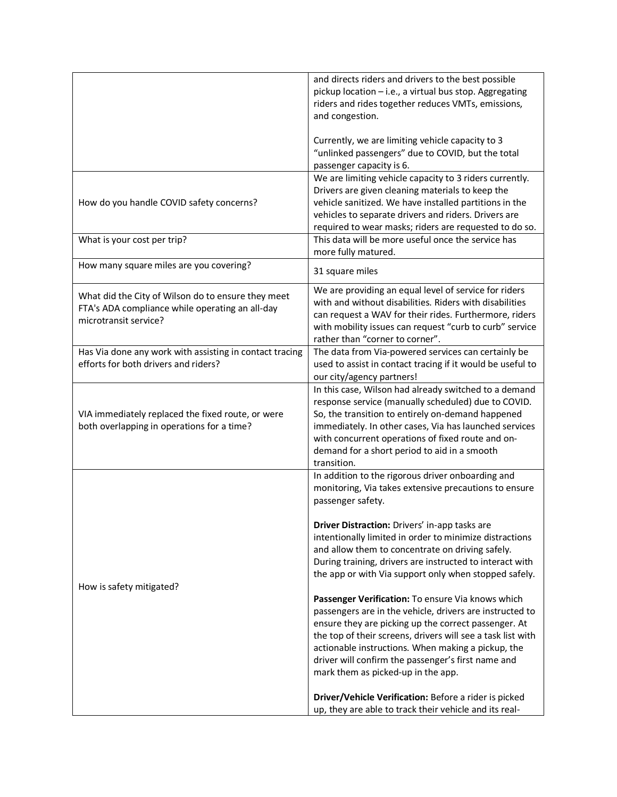|                                                         | and directs riders and drivers to the best possible         |
|---------------------------------------------------------|-------------------------------------------------------------|
|                                                         | pickup location - i.e., a virtual bus stop. Aggregating     |
|                                                         | riders and rides together reduces VMTs, emissions,          |
|                                                         | and congestion.                                             |
|                                                         |                                                             |
|                                                         | Currently, we are limiting vehicle capacity to 3            |
|                                                         | "unlinked passengers" due to COVID, but the total           |
|                                                         | passenger capacity is 6.                                    |
|                                                         | We are limiting vehicle capacity to 3 riders currently.     |
|                                                         | Drivers are given cleaning materials to keep the            |
| How do you handle COVID safety concerns?                | vehicle sanitized. We have installed partitions in the      |
|                                                         | vehicles to separate drivers and riders. Drivers are        |
|                                                         | required to wear masks; riders are requested to do so.      |
| What is your cost per trip?                             | This data will be more useful once the service has          |
|                                                         | more fully matured.                                         |
| How many square miles are you covering?                 | 31 square miles                                             |
| What did the City of Wilson do to ensure they meet      | We are providing an equal level of service for riders       |
| FTA's ADA compliance while operating an all-day         | with and without disabilities. Riders with disabilities     |
| microtransit service?                                   | can request a WAV for their rides. Furthermore, riders      |
|                                                         | with mobility issues can request "curb to curb" service     |
|                                                         | rather than "corner to corner".                             |
| Has Via done any work with assisting in contact tracing | The data from Via-powered services can certainly be         |
| efforts for both drivers and riders?                    | used to assist in contact tracing if it would be useful to  |
|                                                         | our city/agency partners!                                   |
|                                                         | In this case, Wilson had already switched to a demand       |
|                                                         | response service (manually scheduled) due to COVID.         |
| VIA immediately replaced the fixed route, or were       | So, the transition to entirely on-demand happened           |
| both overlapping in operations for a time?              | immediately. In other cases, Via has launched services      |
|                                                         | with concurrent operations of fixed route and on-           |
|                                                         | demand for a short period to aid in a smooth<br>transition. |
|                                                         | In addition to the rigorous driver onboarding and           |
|                                                         | monitoring, Via takes extensive precautions to ensure       |
|                                                         | passenger safety.                                           |
|                                                         |                                                             |
|                                                         | Driver Distraction: Drivers' in-app tasks are               |
|                                                         | intentionally limited in order to minimize distractions     |
|                                                         | and allow them to concentrate on driving safely.            |
|                                                         | During training, drivers are instructed to interact with    |
|                                                         | the app or with Via support only when stopped safely.       |
| How is safety mitigated?                                |                                                             |
|                                                         | Passenger Verification: To ensure Via knows which           |
|                                                         | passengers are in the vehicle, drivers are instructed to    |
|                                                         | ensure they are picking up the correct passenger. At        |
|                                                         | the top of their screens, drivers will see a task list with |
|                                                         | actionable instructions. When making a pickup, the          |
|                                                         | driver will confirm the passenger's first name and          |
|                                                         | mark them as picked-up in the app.                          |
|                                                         |                                                             |
|                                                         | Driver/Vehicle Verification: Before a rider is picked       |
|                                                         | up, they are able to track their vehicle and its real-      |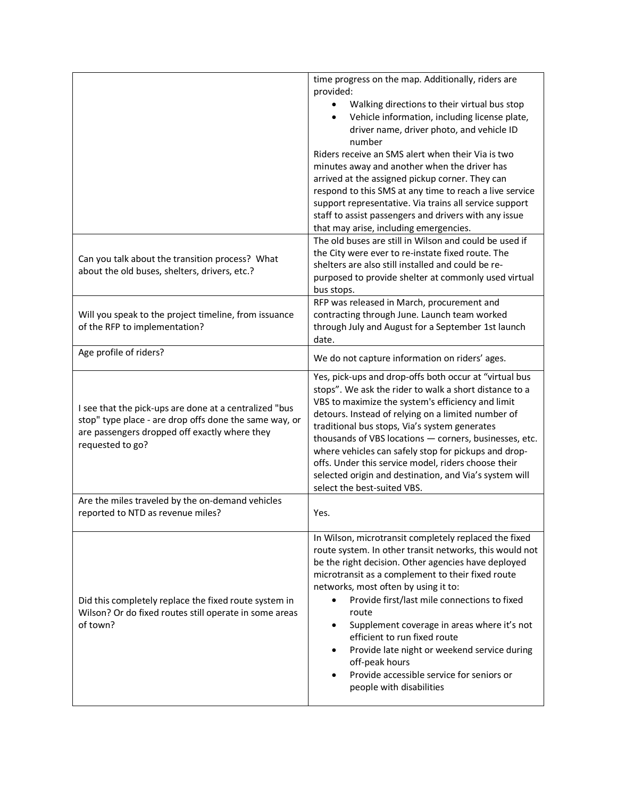|                                                                                                                                                                                       | time progress on the map. Additionally, riders are<br>provided:<br>Walking directions to their virtual bus stop<br>Vehicle information, including license plate,<br>$\bullet$<br>driver name, driver photo, and vehicle ID<br>number<br>Riders receive an SMS alert when their Via is two<br>minutes away and another when the driver has<br>arrived at the assigned pickup corner. They can<br>respond to this SMS at any time to reach a live service<br>support representative. Via trains all service support<br>staff to assist passengers and drivers with any issue<br>that may arise, including emergencies.<br>The old buses are still in Wilson and could be used if |
|---------------------------------------------------------------------------------------------------------------------------------------------------------------------------------------|--------------------------------------------------------------------------------------------------------------------------------------------------------------------------------------------------------------------------------------------------------------------------------------------------------------------------------------------------------------------------------------------------------------------------------------------------------------------------------------------------------------------------------------------------------------------------------------------------------------------------------------------------------------------------------|
| Can you talk about the transition process? What<br>about the old buses, shelters, drivers, etc.?                                                                                      | the City were ever to re-instate fixed route. The<br>shelters are also still installed and could be re-<br>purposed to provide shelter at commonly used virtual<br>bus stops.                                                                                                                                                                                                                                                                                                                                                                                                                                                                                                  |
| Will you speak to the project timeline, from issuance<br>of the RFP to implementation?                                                                                                | RFP was released in March, procurement and<br>contracting through June. Launch team worked<br>through July and August for a September 1st launch<br>date.                                                                                                                                                                                                                                                                                                                                                                                                                                                                                                                      |
| Age profile of riders?                                                                                                                                                                | We do not capture information on riders' ages.                                                                                                                                                                                                                                                                                                                                                                                                                                                                                                                                                                                                                                 |
| I see that the pick-ups are done at a centralized "bus<br>stop" type place - are drop offs done the same way, or<br>are passengers dropped off exactly where they<br>requested to go? | Yes, pick-ups and drop-offs both occur at "virtual bus<br>stops". We ask the rider to walk a short distance to a<br>VBS to maximize the system's efficiency and limit<br>detours. Instead of relying on a limited number of<br>traditional bus stops, Via's system generates<br>thousands of VBS locations - corners, businesses, etc.<br>where vehicles can safely stop for pickups and drop-<br>offs. Under this service model, riders choose their<br>selected origin and destination, and Via's system will<br>select the best-suited VBS.                                                                                                                                 |
| Are the miles traveled by the on-demand vehicles<br>reported to NTD as revenue miles?                                                                                                 | Yes.                                                                                                                                                                                                                                                                                                                                                                                                                                                                                                                                                                                                                                                                           |
| Did this completely replace the fixed route system in<br>Wilson? Or do fixed routes still operate in some areas<br>of town?                                                           | In Wilson, microtransit completely replaced the fixed<br>route system. In other transit networks, this would not<br>be the right decision. Other agencies have deployed<br>microtransit as a complement to their fixed route<br>networks, most often by using it to:<br>Provide first/last mile connections to fixed<br>$\bullet$<br>route<br>Supplement coverage in areas where it's not<br>efficient to run fixed route<br>Provide late night or weekend service during<br>off-peak hours<br>Provide accessible service for seniors or<br>people with disabilities                                                                                                           |